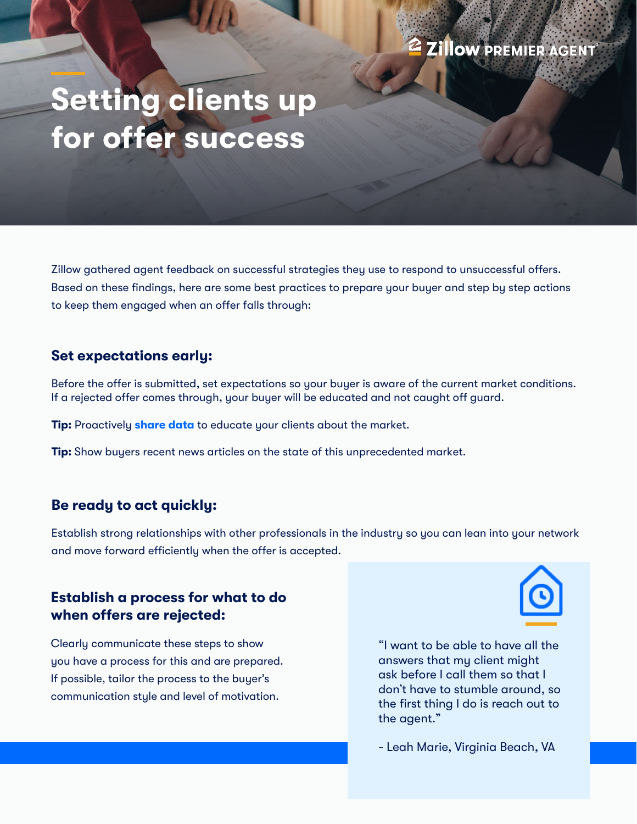# **Setting clients up for offer success**

Zillow gathered agent feedback on successful strategies they use to respond to unsuccessful offers. Based on these findings, here are some best practices to prepare your buyer and step by step actions to keep them engaged when an offer falls through:

#### **Set expectations early:**

Before the offer is submitted, set expectations so your buyer is aware of the current market conditions. If a rejected offer comes through, your buyer will be educated and not caught off guard.

**Tip:** Proactively **[share data](https://www.zillow.com/research/)** to educate your clients about the market.

**Tip:** Show buyers recent news articles on the state of this unprecedented market.

## **Be ready to act quickly:**

Establish strong relationships with other professionals in the industry so you can lean into your network and move forward efficiently when the offer is accepted.

## **Establish a process for what to do when offers are rejected:**

Clearly communicate these steps to show you have a process for this and are prepared. If possible, tailor the process to the buyer's communication style and level of motivation.

"I want to be able to have all the answers that my client might ask before I call them so that I don't have to stumble around, so the first thing I do is reach out to the agent."

- Leah Marie, Virginia Beach, VA